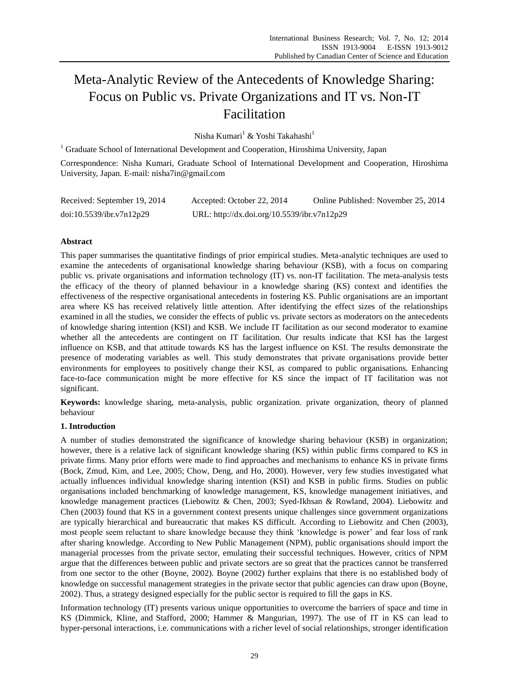# Meta-Analytic Review of the Antecedents of Knowledge Sharing: Focus on Public vs. Private Organizations and IT vs. Non-IT Facilitation

Nisha Kumari<sup>1</sup> & Yoshi Takahashi<sup>1</sup>

<sup>1</sup> Graduate School of International Development and Cooperation, Hiroshima University, Japan

Correspondence: Nisha Kumari, Graduate School of International Development and Cooperation, Hiroshima University, Japan. E-mail: nisha7in@gmail.com

| Received: September 19, 2014 | Accepted: October 22, 2014                  | Online Published: November 25, 2014 |
|------------------------------|---------------------------------------------|-------------------------------------|
| doi:10.5539/ibr.v7n12p29     | URL: http://dx.doi.org/10.5539/ibr.v7n12p29 |                                     |

# **Abstract**

This paper summarises the quantitative findings of prior empirical studies. Meta-analytic techniques are used to examine the antecedents of organisational knowledge sharing behaviour (KSB), with a focus on comparing public vs. private organisations and information technology (IT) vs. non-IT facilitation. The meta-analysis tests the efficacy of the theory of planned behaviour in a knowledge sharing (KS) context and identifies the effectiveness of the respective organisational antecedents in fostering KS. Public organisations are an important area where KS has received relatively little attention. After identifying the effect sizes of the relationships examined in all the studies, we consider the effects of public vs. private sectors as moderators on the antecedents of knowledge sharing intention (KSI) and KSB. We include IT facilitation as our second moderator to examine whether all the antecedents are contingent on IT facilitation. Our results indicate that KSI has the largest influence on KSB, and that attitude towards KS has the largest influence on KSI. The results demonstrate the presence of moderating variables as well. This study demonstrates that private organisations provide better environments for employees to positively change their KSI, as compared to public organisations. Enhancing face-to-face communication might be more effective for KS since the impact of IT facilitation was not significant.

**Keywords:** knowledge sharing, meta-analysis, public organization. private organization, theory of planned behaviour

# **1. Introduction**

A number of studies demonstrated the significance of knowledge sharing behaviour (KSB) in organization; however, there is a relative lack of significant knowledge sharing (KS) within public firms compared to KS in private firms. Many prior efforts were made to find approaches and mechanisms to enhance KS in private firms (Bock, Zmud, Kim, and Lee, 2005; Chow, Deng, and Ho, 2000). However, very few studies investigated what actually influences individual knowledge sharing intention (KSI) and KSB in public firms. Studies on public organisations included benchmarking of knowledge management, KS, knowledge management initiatives, and knowledge management practices (Liebowitz & Chen, 2003; Syed-Ikhsan & Rowland, 2004). Liebowitz and Chen (2003) found that KS in a government context presents unique challenges since government organizations are typically hierarchical and bureaucratic that makes KS difficult. According to Liebowitz and Chen (2003), most people seem reluctant to share knowledge because they think 'knowledge is power' and fear loss of rank after sharing knowledge. According to New Public Management (NPM), public organisations should import the managerial processes from the private sector, emulating their successful techniques. However, critics of NPM argue that the differences between public and private sectors are so great that the practices cannot be transferred from one sector to the other (Boyne, 2002). Boyne (2002) further explains that there is no established body of knowledge on successful management strategies in the private sector that public agencies can draw upon (Boyne, 2002). Thus, a strategy designed especially for the public sector is required to fill the gaps in KS.

Information technology (IT) presents various unique opportunities to overcome the barriers of space and time in KS (Dimmick, Kline, and Stafford, 2000; Hammer & Mangurian, 1997). The use of IT in KS can lead to hyper-personal interactions, i.e. communications with a richer level of social relationships, stronger identification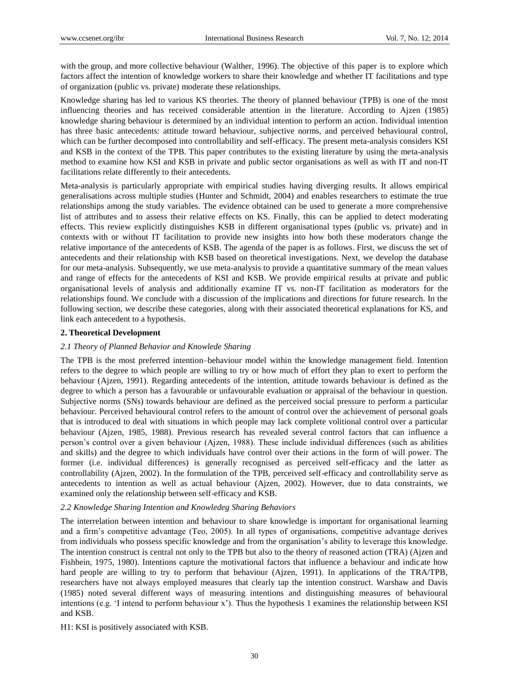with the group, and more collective behaviour (Walther, 1996). The objective of this paper is to explore which factors affect the intention of knowledge workers to share their knowledge and whether IT facilitations and type of organization (public vs. private) moderate these relationships.

Knowledge sharing has led to various KS theories. The theory of planned behaviour (TPB) is one of the most influencing theories and has received considerable attention in the literature. According to Ajzen (1985) knowledge sharing behaviour is determined by an individual intention to perform an action. Individual intention has three basic antecedents: attitude toward behaviour, subjective norms, and perceived behavioural control, which can be further decomposed into controllability and self-efficacy. The present meta-analysis considers KSI and KSB in the context of the TPB. This paper contributes to the existing literature by using the meta-analysis method to examine how KSI and KSB in private and public sector organisations as well as with IT and non-IT facilitations relate differently to their antecedents.

Meta-analysis is particularly appropriate with empirical studies having diverging results. It allows empirical generalisations across multiple studies (Hunter and Schmidt, 2004) and enables researchers to estimate the true relationships among the study variables. The evidence obtained can be used to generate a more comprehensive list of attributes and to assess their relative effects on KS. Finally, this can be applied to detect moderating effects. This review explicitly distinguishes KSB in different organisational types (public vs. private) and in contexts with or without IT facilitation to provide new insights into how both these moderators change the relative importance of the antecedents of KSB. The agenda of the paper is as follows. First, we discuss the set of antecedents and their relationship with KSB based on theoretical investigations. Next, we develop the database for our meta-analysis. Subsequently, we use meta-analysis to provide a quantitative summary of the mean values and range of effects for the antecedents of KSI and KSB. We provide empirical results at private and public organisational levels of analysis and additionally examine IT vs. non-IT facilitation as moderators for the relationships found. We conclude with a discussion of the implications and directions for future research. In the following section, we describe these categories, along with their associated theoretical explanations for KS, and link each antecedent to a hypothesis.

#### **2. Theoretical Development**

#### *2.1 Theory of Planned Behavior and Knowlede Sharing*

The TPB is the most preferred intention–behaviour model within the knowledge management field. Intention refers to the degree to which people are willing to try or how much of effort they plan to exert to perform the behaviour (Ajzen, 1991). Regarding antecedents of the intention, attitude towards behaviour is defined as the degree to which a person has a favourable or unfavourable evaluation or appraisal of the behaviour in question. Subjective norms (SNs) towards behaviour are defined as the perceived social pressure to perform a particular behaviour. Perceived behavioural control refers to the amount of control over the achievement of personal goals that is introduced to deal with situations in which people may lack complete volitional control over a particular behaviour (Ajzen, 1985, 1988). Previous research has revealed several control factors that can influence a person's control over a given behaviour (Ajzen, 1988). These include individual differences (such as abilities and skills) and the degree to which individuals have control over their actions in the form of will power. The former (i.e. individual differences) is generally recognised as perceived self-efficacy and the latter as controllability (Ajzen, 2002). In the formulation of the TPB, perceived self-efficacy and controllability serve as antecedents to intention as well as actual behaviour (Ajzen, 2002). However, due to data constraints, we examined only the relationship between self-efficacy and KSB.

#### *2.2 Knowledge Sharing Intention and Knowledeg Sharing Behaviors*

The interrelation between intention and behaviour to share knowledge is important for organisational learning and a firm's competitive advantage (Teo, 2005). In all types of organisations, competitive advantage derives from individuals who possess specific knowledge and from the organisation's ability to leverage this knowledge. The intention construct is central not only to the TPB but also to the theory of reasoned action (TRA) (Ajzen and Fishbein, 1975, 1980). Intentions capture the motivational factors that influence a behaviour and indicate how hard people are willing to try to perform that behaviour (Ajzen, 1991). In applications of the TRA/TPB, researchers have not always employed measures that clearly tap the intention construct. Warshaw and Davis (1985) noted several different ways of measuring intentions and distinguishing measures of behavioural intentions (e.g. 'I intend to perform behaviour x'). Thus the hypothesis 1 examines the relationship between KSI and KSB.

H1: KSI is positively associated with KSB.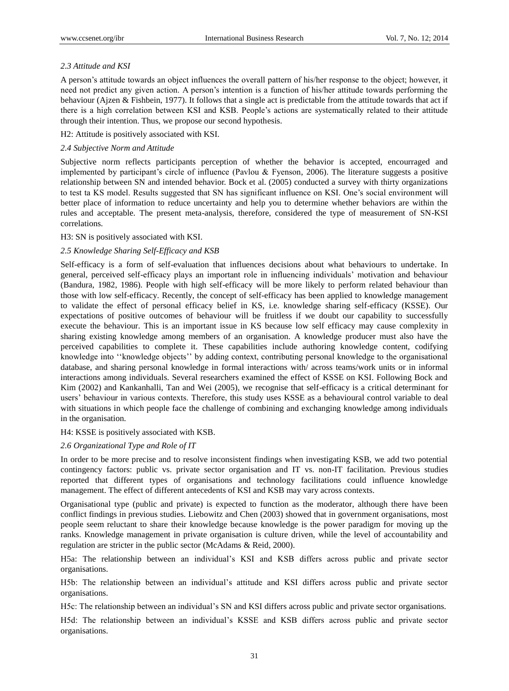# *2.3 Attitude and KSI*

A person's attitude towards an object influences the overall pattern of his/her response to the object; however, it need not predict any given action. A person's intention is a function of his/her attitude towards performing the behaviour (Ajzen & Fishbein, 1977). It follows that a single act is predictable from the attitude towards that act if there is a high correlation between KSI and KSB. People's actions are systematically related to their attitude through their intention. Thus, we propose our second hypothesis.

H2: Attitude is positively associated with KSI.

# *2.4 Subjective Norm and Attitude*

Subjective norm reflects participants perception of whether the behavior is accepted, encourraged and implemented by participant's circle of influence (Pavlou & Fyenson, 2006). The literature suggests a positive relationship between SN and intended behavior. Bock et al. (2005) conducted a survey with thirty organizations to test ta KS model. Results suggested that SN has significant influence on KSI. One's social environment will better place of information to reduce uncertainty and help you to determine whether behaviors are within the rules and acceptable. The present meta-analysis, therefore, considered the type of measurement of SN-KSI correlations.

# H3: SN is positively associated with KSI.

# *2.5 Knowledge Sharing Self-Efficacy and KSB*

Self-efficacy is a form of self-evaluation that influences decisions about what behaviours to undertake. In general, perceived self-efficacy plays an important role in influencing individuals' motivation and behaviour (Bandura, 1982, 1986). People with high self-efficacy will be more likely to perform related behaviour than those with low self-efficacy. Recently, the concept of self-efficacy has been applied to knowledge management to validate the effect of personal efficacy belief in KS, i.e. knowledge sharing self-efficacy (KSSE). Our expectations of positive outcomes of behaviour will be fruitless if we doubt our capability to successfully execute the behaviour. This is an important issue in KS because low self efficacy may cause complexity in sharing existing knowledge among members of an organisation. A knowledge producer must also have the perceived capabilities to complete it. These capabilities include authoring knowledge content, codifying knowledge into ''knowledge objects'' by adding context, contributing personal knowledge to the organisational database, and sharing personal knowledge in formal interactions with/ across teams/work units or in informal interactions among individuals. Several researchers examined the effect of KSSE on KSI. Following Bock and Kim (2002) and Kankanhalli, Tan and Wei (2005), we recognise that self-efficacy is a critical determinant for users' behaviour in various contexts. Therefore, this study uses KSSE as a behavioural control variable to deal with situations in which people face the challenge of combining and exchanging knowledge among individuals in the organisation.

# H4: KSSE is positively associated with KSB.

# *2.6 Organizational Type and Role of IT*

In order to be more precise and to resolve inconsistent findings when investigating KSB, we add two potential contingency factors: public vs. private sector organisation and IT vs. non-IT facilitation. Previous studies reported that different types of organisations and technology facilitations could influence knowledge management. The effect of different antecedents of KSI and KSB may vary across contexts.

Organisational type (public and private) is expected to function as the moderator, although there have been conflict findings in previous studies. Liebowitz and Chen (2003) showed that in government organisations, most people seem reluctant to share their knowledge because knowledge is the power paradigm for moving up the ranks. Knowledge management in private organisation is culture driven, while the level of accountability and regulation are stricter in the public sector (McAdams & Reid, 2000).

H5a: The relationship between an individual's KSI and KSB differs across public and private sector organisations.

H5b: The relationship between an individual's attitude and KSI differs across public and private sector organisations.

H5c: The relationship between an individual's SN and KSI differs across public and private sector organisations.

H5d: The relationship between an individual's KSSE and KSB differs across public and private sector organisations.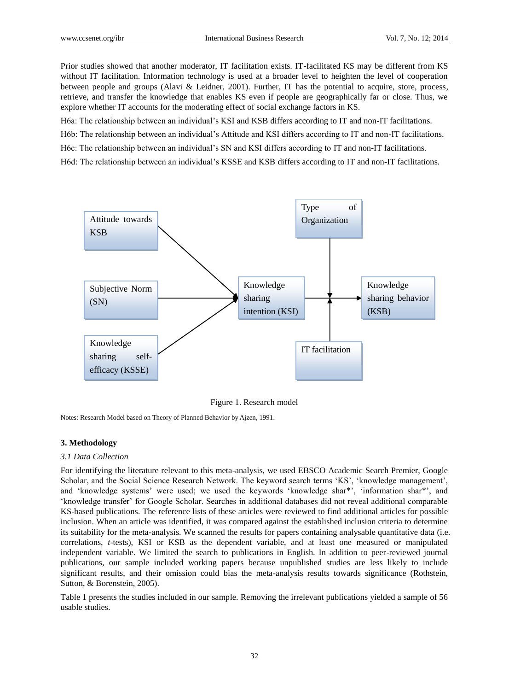Prior studies showed that another moderator, IT facilitation exists. IT-facilitated KS may be different from KS without IT facilitation. Information technology is used at a broader level to heighten the level of cooperation between people and groups (Alavi & Leidner, 2001). Further, IT has the potential to acquire, store, process, retrieve, and transfer the knowledge that enables KS even if people are geographically far or close. Thus, we explore whether IT accounts for the moderating effect of social exchange factors in KS.

H6a: The relationship between an individual's KSI and KSB differs according to IT and non-IT facilitations.

H6b: The relationship between an individual's Attitude and KSI differs according to IT and non-IT facilitations.

H6c: The relationship between an individual's SN and KSI differs according to IT and non-IT facilitations.

H6d: The relationship between an individual's KSSE and KSB differs according to IT and non-IT facilitations.



Figure 1. Research model

Notes: Research Model based on Theory of Planned Behavior by Ajzen, 1991.

# **3. Methodology**

# *3.1 Data Collection*

For identifying the literature relevant to this meta-analysis, we used EBSCO Academic Search Premier, Google Scholar, and the Social Science Research Network. The keyword search terms 'KS', 'knowledge management', and 'knowledge systems' were used; we used the keywords 'knowledge shar\*', 'information shar\*', and 'knowledge transfer' for Google Scholar. Searches in additional databases did not reveal additional comparable KS-based publications. The reference lists of these articles were reviewed to find additional articles for possible inclusion. When an article was identified, it was compared against the established inclusion criteria to determine its suitability for the meta-analysis. We scanned the results for papers containing analysable quantitative data (i.e. correlations, *t*-tests), KSI or KSB as the dependent variable, and at least one measured or manipulated independent variable. We limited the search to publications in English. In addition to peer-reviewed journal publications, our sample included working papers because unpublished studies are less likely to include significant results, and their omission could bias the meta-analysis results towards significance (Rothstein, Sutton, & Borenstein, 2005).

Table 1 presents the studies included in our sample. Removing the irrelevant publications yielded a sample of 56 usable studies.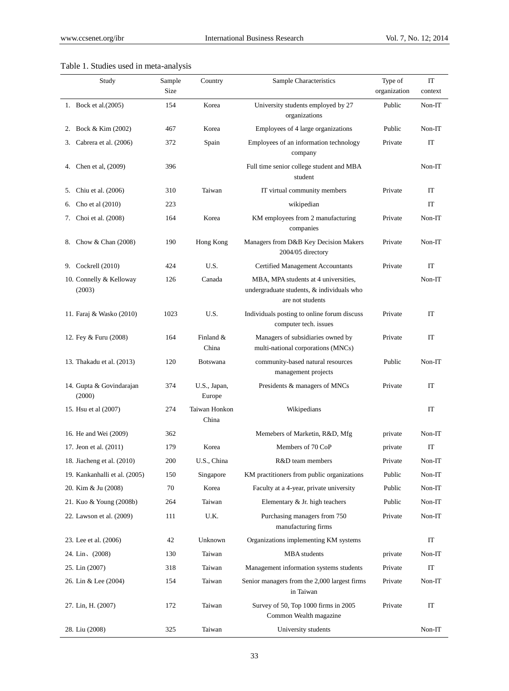| Study                              | Sample<br>Size | Country                | Sample Characteristics                                                                                | Type of<br>organization | IT<br>context        |
|------------------------------------|----------------|------------------------|-------------------------------------------------------------------------------------------------------|-------------------------|----------------------|
| 1. Bock et al. (2005)              | 154            | Korea                  | University students employed by 27<br>organizations                                                   | Public                  | Non-IT               |
| 2. Bock & Kim (2002)               | 467            | Korea                  | Employees of 4 large organizations                                                                    | Public                  | Non-IT               |
| 3. Cabrera et al. (2006)           | 372            | Spain                  | Employees of an information technology<br>company                                                     | Private                 | IT                   |
| Chen et al, (2009)<br>4.           | 396            |                        | Full time senior college student and MBA<br>student                                                   |                         | Non-IT               |
| 5. Chiu et al. (2006)              | 310            | Taiwan                 | IT virtual community members                                                                          | Private                 | IT                   |
| 6. Cho et al (2010)                | 223            |                        | wikipedian                                                                                            |                         | $\mathop{\text{IT}}$ |
| 7. Choi et al. (2008)              | 164            | Korea                  | KM employees from 2 manufacturing<br>companies                                                        | Private                 | Non-IT               |
| 8. Chow & Chan (2008)              | 190            | Hong Kong              | Managers from D&B Key Decision Makers<br>2004/05 directory                                            | Private                 | Non-IT               |
| 9. Cockrell (2010)                 | 424            | U.S.                   | Certified Management Accountants                                                                      | Private                 | IT                   |
| 10. Connelly & Kelloway<br>(2003)  | 126            | Canada                 | MBA, MPA students at 4 universities,<br>undergraduate students, & individuals who<br>are not students |                         | Non-IT               |
| 11. Faraj & Wasko (2010)           | 1023           | U.S.                   | Individuals posting to online forum discuss<br>computer tech. issues                                  | Private                 | IT                   |
| 12. Fey & Furu (2008)              | 164            | Finland &<br>China     | Managers of subsidiaries owned by<br>multi-national corporations (MNCs)                               | Private                 | IT                   |
| 13. Thakadu et al. (2013)          | 120            | <b>Botswana</b>        | community-based natural resources<br>management projects                                              | Public                  | Non-IT               |
| 14. Gupta & Govindarajan<br>(2000) | 374            | U.S., Japan,<br>Europe | Presidents & managers of MNCs                                                                         | Private                 | IT                   |
| 15. Hsu et al (2007)               | 274            | Taiwan Honkon<br>China | Wikipedians                                                                                           |                         | $\mathop{\text{IT}}$ |
| 16. He and Wei (2009)              | 362            |                        | Memebers of Marketin, R&D, Mfg                                                                        | private                 | Non-IT               |
| 17. Jeon et al. (2011)             | 179            | Korea                  | Members of 70 CoP                                                                                     | private                 | IT                   |
| 18. Jiacheng et al. (2010)         | 200            | U.S., China            | R&D team members                                                                                      | Private                 | Non-IT               |
| 19. Kankanhalli et al. (2005)      | 150            | Singapore              | KM practitioners from public organizations                                                            | Public                  | Non-IT               |
| 20. Kim & Ju (2008)                | 70             | Korea                  | Faculty at a 4-year, private university                                                               | Public                  | Non-IT               |
| 21. Kuo & Young (2008b)            | 264            | Taiwan                 | Elementary & Jr. high teachers                                                                        | Public                  | Non-IT               |
| 22. Lawson et al. (2009)           | 111            | U.K.                   | Purchasing managers from 750<br>manufacturing firms                                                   | Private                 | Non-IT               |
| 23. Lee et al. (2006)              | 42             | Unknown                | Organizations implementing KM systems                                                                 |                         | IT                   |
| 24. Lin, (2008)                    | 130            | Taiwan                 | <b>MBA</b> students                                                                                   | private                 | Non-IT               |
| 25. Lin (2007)                     | 318            | Taiwan                 | Management information systems students                                                               | Private                 | IT                   |
| 26. Lin & Lee (2004)               | 154            | Taiwan                 | Senior managers from the 2,000 largest firms<br>in Taiwan                                             | Private                 | Non-IT               |
| 27. Lin, H. (2007)                 | 172            | Taiwan                 | Survey of 50, Top 1000 firms in 2005<br>Common Wealth magazine                                        | Private                 | IT                   |
| 28. Liu (2008)                     | 325            | Taiwan                 | University students                                                                                   |                         | Non-IT               |

# Table 1. Studies used in meta-analysis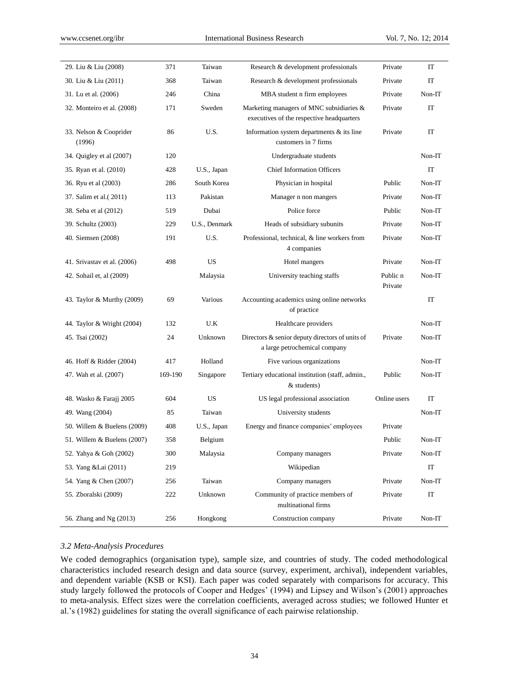| 29. Liu & Liu (2008)             | 371     | Taiwan        | Research & development professionals                                                  | Private             | IT                     |
|----------------------------------|---------|---------------|---------------------------------------------------------------------------------------|---------------------|------------------------|
| 30. Liu & Liu (2011)             | 368     | Taiwan        | Research & development professionals                                                  | Private             | IT                     |
| 31. Lu et al. (2006)             | 246     | China         | MBA student n firm employees                                                          | Private             | Non-IT                 |
| 32. Monteiro et al. (2008)       | 171     | Sweden        | Marketing managers of MNC subsidiaries &<br>executives of the respective headquarters | Private             | IT                     |
| 33. Nelson & Cooprider<br>(1996) | 86      | U.S.          | Information system departments $&$ its line<br>customers in 7 firms                   | Private             | IT                     |
| 34. Quigley et al (2007)         | 120     |               | Undergraduate students                                                                |                     | Non-IT                 |
| 35. Ryan et al. (2010)           | 428     | U.S., Japan   | <b>Chief Information Officers</b>                                                     |                     | IT                     |
| 36. Ryu et al (2003)             | 286     | South Korea   | Physician in hospital                                                                 | Public              | Non-IT                 |
| 37. Salim et al. (2011)          | 113     | Pakistan      | Manager n non mangers                                                                 | Private             | Non-IT                 |
| 38. Seba et al (2012)            | 519     | Dubai         | Police force                                                                          | Public              | Non-IT                 |
| 39. Schultz (2003)               | 229     | U.S., Denmark | Heads of subsidiary subunits                                                          | Private             | Non-IT                 |
| 40. Siemsen (2008)               | 191     | U.S.          | Professional, technical, & line workers from<br>4 companies                           | Private             | Non-IT                 |
| 41. Srivastav et al. (2006)      | 498     | <b>US</b>     | Hotel mangers                                                                         | Private             | Non-IT                 |
| 42. Sohail et, al (2009)         |         | Malaysia      | University teaching staffs                                                            | Public n<br>Private | Non-IT                 |
| 43. Taylor & Murthy (2009)       | 69      | Various       | Accounting academics using online networks<br>of practice                             |                     | IT                     |
| 44. Taylor & Wright (2004)       | 132     | U.K           | Healthcare providers                                                                  |                     | Non-IT                 |
| 45. Tsai (2002)                  | 24      | Unknown       | Directors & senior deputy directors of units of<br>a large petrochemical company      | Private             | Non-IT                 |
| 46. Hoff & Ridder (2004)         | 417     | Holland       | Five various organizations                                                            |                     | Non-IT                 |
| 47. Wah et al. (2007)            | 169-190 | Singapore     | Tertiary educational institution (staff, admin.,<br>$&$ students)                     | Public              | Non-IT                 |
| 48. Wasko & Farajj 2005          | 604     | <b>US</b>     | US legal professional association                                                     | Online users        | IT                     |
| 49. Wang (2004)                  | 85      | Taiwan        | University students                                                                   |                     | Non-IT                 |
| 50. Willem & Buelens (2009)      | 408     | U.S., Japan   | Energy and finance companies' employees                                               | Private             |                        |
| 51. Willem & Buelens (2007)      | 358     | Belgium       |                                                                                       | Public              | Non-IT                 |
| 52. Yahya & Goh (2002)           | 300     | Malaysia      | Company managers                                                                      | Private             | Non-IT                 |
| 53. Yang & Lai (2011)            | 219     |               | Wikipedian                                                                            |                     | IT                     |
| 54. Yang & Chen (2007)           | 256     | Taiwan        | Company managers                                                                      | Private             | Non-IT                 |
| 55. Zboralski (2009)             | 222     | Unknown       | Community of practice members of<br>multinational firms                               | Private             | $\mathop{\mathrm{IT}}$ |
| 56. Zhang and Ng (2013)          | 256     | Hongkong      | Construction company                                                                  | Private             | Non-IT                 |

### *3.2 Meta-Analysis Procedures*

 $\ddot{\phantom{a}}$ 

We coded demographics (organisation type), sample size, and countries of study. The coded methodological characteristics included research design and data source (survey, experiment, archival), independent variables, and dependent variable (KSB or KSI). Each paper was coded separately with comparisons for accuracy. This study largely followed the protocols of Cooper and Hedges' (1994) and Lipsey and Wilson's (2001) approaches to meta-analysis. Effect sizes were the correlation coefficients, averaged across studies; we followed Hunter et al.'s (1982) guidelines for stating the overall significance of each pairwise relationship.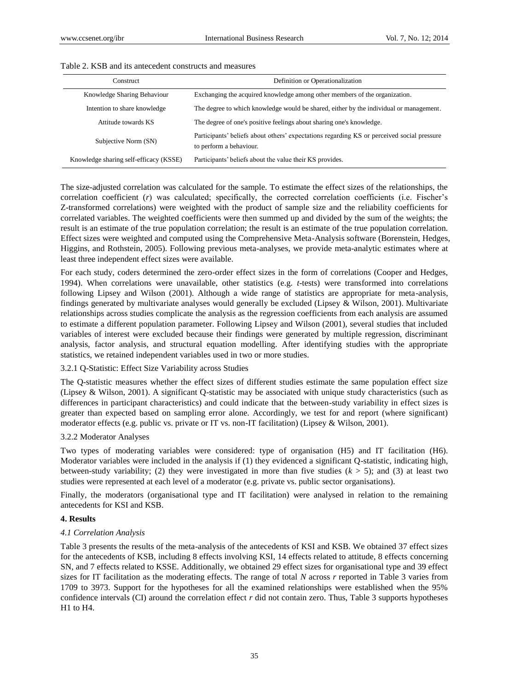| Construct                              | Definition or Operationalization                                                                                      |  |  |  |  |  |
|----------------------------------------|-----------------------------------------------------------------------------------------------------------------------|--|--|--|--|--|
| Knowledge Sharing Behaviour            | Exchanging the acquired knowledge among other members of the organization.                                            |  |  |  |  |  |
| Intention to share knowledge           | The degree to which knowledge would be shared, either by the individual or management.                                |  |  |  |  |  |
| Attitude towards KS                    | The degree of one's positive feelings about sharing one's knowledge.                                                  |  |  |  |  |  |
| Subjective Norm (SN)                   | Participants' beliefs about others' expectations regarding KS or perceived social pressure<br>to perform a behaviour. |  |  |  |  |  |
| Knowledge sharing self-efficacy (KSSE) | Participants' beliefs about the value their KS provides.                                                              |  |  |  |  |  |

#### Table 2. KSB and its antecedent constructs and measures

The size-adjusted correlation was calculated for the sample. To estimate the effect sizes of the relationships, the correlation coefficient (*r*) was calculated; specifically, the corrected correlation coefficients (i.e. Fischer's Z-transformed correlations) were weighted with the product of sample size and the reliability coefficients for correlated variables. The weighted coefficients were then summed up and divided by the sum of the weights; the result is an estimate of the true population correlation; the result is an estimate of the true population correlation. Effect sizes were weighted and computed using the Comprehensive Meta-Analysis software (Borenstein, Hedges, Higgins, and Rothstein, 2005). Following previous meta-analyses, we provide meta-analytic estimates where at least three independent effect sizes were available.

# For each study, coders determined the zero-order effect sizes in the form of correlations (Cooper and Hedges, 1994). When correlations were unavailable, other statistics (e.g. *t*-tests) were transformed into correlations following Lipsey and Wilson (2001). Although a wide range of statistics are appropriate for meta-analysis, findings generated by multivariate analyses would generally be excluded (Lipsey & Wilson, 2001). Multivariate relationships across studies complicate the analysis as the regression coefficients from each analysis are assumed to estimate a different population parameter. Following Lipsey and Wilson (2001), several studies that included variables of interest were excluded because their findings were generated by multiple regression, discriminant analysis, factor analysis, and structural equation modelling. After identifying studies with the appropriate statistics, we retained independent variables used in two or more studies.

#### 3.2.1 Q-Statistic: Effect Size Variability across Studies

The Q-statistic measures whether the effect sizes of different studies estimate the same population effect size (Lipsey & Wilson, 2001). A significant Q-statistic may be associated with unique study characteristics (such as differences in participant characteristics) and could indicate that the between-study variability in effect sizes is greater than expected based on sampling error alone. Accordingly, we test for and report (where significant) moderator effects (e.g. public vs. private or IT vs. non-IT facilitation) (Lipsey & Wilson, 2001).

#### 3.2.2 Moderator Analyses

Two types of moderating variables were considered: type of organisation (H5) and IT facilitation (H6). Moderator variables were included in the analysis if (1) they evidenced a significant Q-statistic, indicating high, between-study variability; (2) they were investigated in more than five studies  $(k > 5)$ ; and (3) at least two studies were represented at each level of a moderator (e.g. private vs. public sector organisations).

Finally, the moderators (organisational type and IT facilitation) were analysed in relation to the remaining antecedents for KSI and KSB.

### **4. Results**

#### *4.1 Correlation Analysis*

Table 3 presents the results of the meta-analysis of the antecedents of KSI and KSB. We obtained 37 effect sizes for the antecedents of KSB, including 8 effects involving KSI, 14 effects related to attitude, 8 effects concerning SN, and 7 effects related to KSSE. Additionally, we obtained 29 effect sizes for organisational type and 39 effect sizes for IT facilitation as the moderating effects. The range of total *N* across *r* reported in Table 3 varies from 1709 to 3973. Support for the hypotheses for all the examined relationships were established when the 95% confidence intervals (CI) around the correlation effect *r* did not contain zero. Thus, Table 3 supports hypotheses H1 to H4.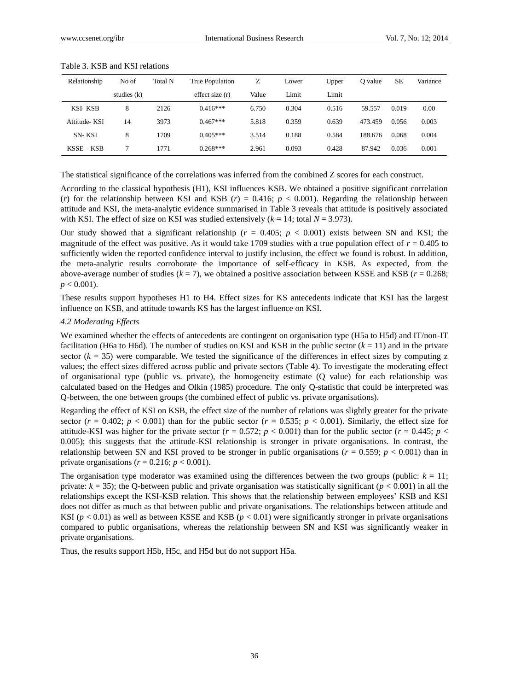| Relationship | Total N<br>No of |      | True Population     | Ζ     | Lower | Upper | O value | <b>SE</b> | Variance |
|--------------|------------------|------|---------------------|-------|-------|-------|---------|-----------|----------|
|              | studies $(k)$    |      | $effect$ size $(r)$ | Value | Limit | Limit |         |           |          |
| KSI-KSB      | 8                | 2126 | $0.416***$          | 6.750 | 0.304 | 0.516 | 59.557  | 0.019     | 0.00     |
| Attitude-KSI | 14               | 3973 | $0.467***$          | 5.818 | 0.359 | 0.639 | 473.459 | 0.056     | 0.003    |
| SN-KSI       | 8                | 1709 | $0.405***$          | 3.514 | 0.188 | 0.584 | 188.676 | 0.068     | 0.004    |
| $KSSE - KSB$ |                  | 1771 | $0.268***$          | 2.961 | 0.093 | 0.428 | 87.942  | 0.036     | 0.001    |

#### Table 3. KSB and KSI relations

The statistical significance of the correlations was inferred from the combined Z scores for each construct.

According to the classical hypothesis (H1), KSI influences KSB. We obtained a positive significant correlation (*r*) for the relationship between KSI and KSB ( $r$ ) = 0.416;  $p$  < 0.001). Regarding the relationship between attitude and KSI, the meta-analytic evidence summarised in Table 3 reveals that attitude is positively associated with KSI. The effect of size on KSI was studied extensively  $(k = 14$ ; total  $N = 3.973$ ).

Our study showed that a significant relationship ( $r = 0.405$ ;  $p < 0.001$ ) exists between SN and KSI; the magnitude of the effect was positive. As it would take 1709 studies with a true population effect of  $r = 0.405$  to sufficiently widen the reported confidence interval to justify inclusion, the effect we found is robust. In addition, the meta-analytic results corroborate the importance of self-efficacy in KSB. As expected, from the above-average number of studies  $(k = 7)$ , we obtained a positive association between KSSE and KSB ( $r = 0.268$ ;  $p < 0.001$ ).

These results support hypotheses H1 to H4. Effect sizes for KS antecedents indicate that KSI has the largest influence on KSB, and attitude towards KS has the largest influence on KSI.

#### *4.2 Moderating Effects*

We examined whether the effects of antecedents are contingent on organisation type (H5a to H5d) and IT/non-IT facilitation (H6a to H6d). The number of studies on KSI and KSB in the public sector  $(k = 11)$  and in the private sector  $(k = 35)$  were comparable. We tested the significance of the differences in effect sizes by computing z values; the effect sizes differed across public and private sectors (Table 4). To investigate the moderating effect of organisational type (public vs. private), the homogeneity estimate (Q value) for each relationship was calculated based on the Hedges and Olkin (1985) procedure. The only Q-statistic that could be interpreted was Q-between, the one between groups (the combined effect of public vs. private organisations).

Regarding the effect of KSI on KSB, the effect size of the number of relations was slightly greater for the private sector  $(r = 0.402; p < 0.001)$  than for the public sector  $(r = 0.535; p < 0.001)$ . Similarly, the effect size for attitude-KSI was higher for the private sector  $(r = 0.572; p < 0.001)$  than for the public sector  $(r = 0.445; p <$ 0.005); this suggests that the attitude-KSI relationship is stronger in private organisations. In contrast, the relationship between SN and KSI proved to be stronger in public organisations ( $r = 0.559$ ;  $p < 0.001$ ) than in private organisations ( $r = 0.216$ ;  $p < 0.001$ ).

The organisation type moderator was examined using the differences between the two groups (public:  $k = 11$ ; private:  $k = 35$ ; the Q-between public and private organisation was statistically significant ( $p < 0.001$ ) in all the relationships except the KSI-KSB relation. This shows that the relationship between employees' KSB and KSI does not differ as much as that between public and private organisations. The relationships between attitude and KSI ( $p < 0.01$ ) as well as between KSSE and KSB ( $p < 0.01$ ) were significantly stronger in private organisations compared to public organisations, whereas the relationship between SN and KSI was significantly weaker in private organisations.

Thus, the results support H5b, H5c, and H5d but do not support H5a.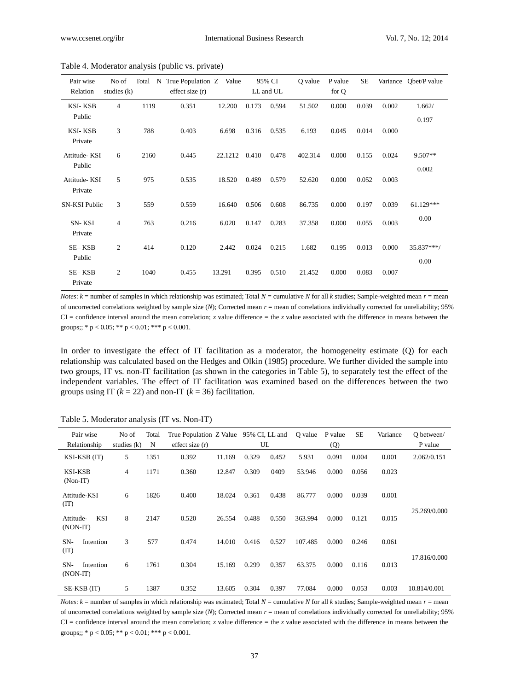| Pair wise                | No of          | Total<br>N | True Population Z Value |         |       | 95% CI    | Q value | P value | <b>SE</b> |       | Variance Qbet/P value |
|--------------------------|----------------|------------|-------------------------|---------|-------|-----------|---------|---------|-----------|-------|-----------------------|
| Relation                 | studies $(k)$  |            | $effect$ size $(r)$     |         |       | LL and UL |         | for Q   |           |       |                       |
| <b>KSI-KSB</b><br>Public | $\overline{4}$ | 1119       | 0.351                   | 12.200  | 0.173 | 0.594     | 51.502  | 0.000   | 0.039     | 0.002 | 1.662/                |
|                          |                |            |                         |         |       |           |         |         |           |       | 0.197                 |
| KSI-KSB<br>Private       | 3              | 788        | 0.403                   | 6.698   | 0.316 | 0.535     | 6.193   | 0.045   | 0.014     | 0.000 |                       |
| Attitude-KSI<br>Public   | 6              | 2160       | 0.445                   | 22.1212 | 0.410 | 0.478     | 402.314 | 0.000   | 0.155     | 0.024 | 9.507**<br>0.002      |
| Attitude-KSI<br>Private  | 5              | 975        | 0.535                   | 18.520  | 0.489 | 0.579     | 52.620  | 0.000   | 0.052     | 0.003 |                       |
| <b>SN-KSI Public</b>     | 3              | 559        | 0.559                   | 16.640  | 0.506 | 0.608     | 86.735  | 0.000   | 0.197     | 0.039 | 61.129***             |
| SN-KSI<br>Private        | $\overline{4}$ | 763        | 0.216                   | 6.020   | 0.147 | 0.283     | 37.358  | 0.000   | 0.055     | 0.003 | 0.00                  |
| SE-KSB<br>Public         | 2              | 414        | 0.120                   | 2.442   | 0.024 | 0.215     | 1.682   | 0.195   | 0.013     | 0.000 | 35.837***/<br>0.00    |
| SE-KSB<br>Private        | $\mathfrak{2}$ | 1040       | 0.455                   | 13.291  | 0.395 | 0.510     | 21.452  | 0.000   | 0.083     | 0.007 |                       |

Table 4. Moderator analysis (public vs. private)

*Notes*:  $k =$  number of samples in which relationship was estimated; Total  $N =$  cumulative  $N$  for all  $k$  studies; Sample-weighted mean  $r =$  mean of uncorrected correlations weighted by sample size (*N*); Corrected mean *r* = mean of correlations individually corrected for unreliability; 95%  $CI =$  confidence interval around the mean correlation; *z* value difference = the *z* value associated with the difference in means between the groups;; \*  $p < 0.05$ ; \*\*  $p < 0.01$ ; \*\*\*  $p < 0.001$ .

In order to investigate the effect of IT facilitation as a moderator, the homogeneity estimate (Q) for each relationship was calculated based on the Hedges and Olkin (1985) procedure. We further divided the sample into two groups, IT vs. non-IT facilitation (as shown in the categories in Table 5), to separately test the effect of the independent variables. The effect of IT facilitation was examined based on the differences between the two groups using IT  $(k = 22)$  and non-IT  $(k = 36)$  facilitation.

| Pair wise                             | No of       | Total | True Population Z Value 95% CI, LL and |        |       |       | O value | P value | SE    | Variance | O between/   |
|---------------------------------------|-------------|-------|----------------------------------------|--------|-------|-------|---------|---------|-------|----------|--------------|
| Relationship                          | studies (k) | N     | effect size (r)                        |        | UL    |       |         | (Q)     |       |          | P value      |
| KSI-KSB (IT)                          | 5           | 1351  | 0.392                                  | 11.169 | 0.329 | 0.452 | 5.931   | 0.091   | 0.004 | 0.001    | 2.062/0.151  |
| <b>KSI-KSB</b><br>$(Non-T)$           | 4           | 1171  | 0.360                                  | 12.847 | 0.309 | 0409  | 53.946  | 0.000   | 0.056 | 0.023    |              |
| Attitude-KSI<br>(TT)                  | 6           | 1826  | 0.400                                  | 18.024 | 0.361 | 0.438 | 86.777  | 0.000   | 0.039 | 0.001    |              |
| <b>KSI</b><br>Attitude-<br>$(NON-IT)$ | 8           | 2147  | 0.520                                  | 26.554 | 0.488 | 0.550 | 363.994 | 0.000   | 0.121 | 0.015    | 25.269/0.000 |
| $SN-$<br>Intention<br>(TT)            | 3           | 577   | 0.474                                  | 14.010 | 0.416 | 0.527 | 107.485 | 0.000   | 0.246 | 0.061    |              |
| $SN-$<br>Intention<br>$(NON-IT)$      | 6           | 1761  | 0.304                                  | 15.169 | 0.299 | 0.357 | 63.375  | 0.000   | 0.116 | 0.013    | 17.816/0.000 |
| SE-KSB (IT)                           | 5           | 1387  | 0.352                                  | 13.605 | 0.304 | 0.397 | 77.084  | 0.000   | 0.053 | 0.003    | 10.814/0.001 |

Table 5. Moderator analysis (IT vs. Non-IT)

*Notes*:  $k =$  number of samples in which relationship was estimated; Total  $N =$  cumulative  $N$  for all  $k$  studies; Sample-weighted mean  $r =$  mean of uncorrected correlations weighted by sample size (*N*); Corrected mean *r* = mean of correlations individually corrected for unreliability; 95% CI = confidence interval around the mean correlation;  $z$  value difference = the  $z$  value associated with the difference in means between the groups;; \*  $p < 0.05$ ; \*\*  $p < 0.01$ ; \*\*\*  $p < 0.001$ .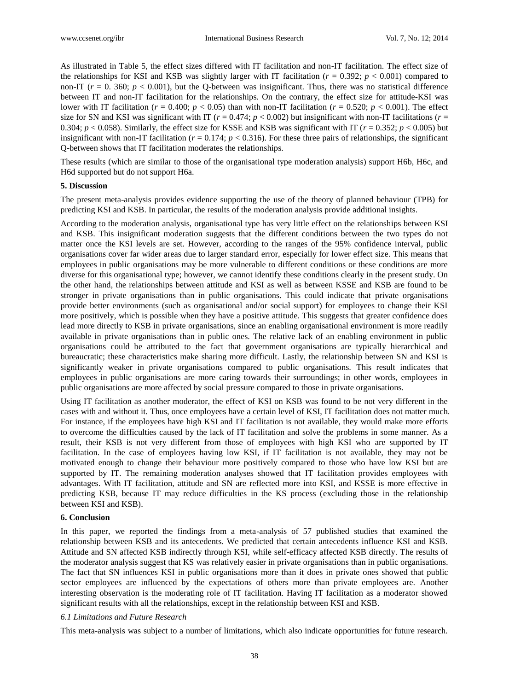As illustrated in Table 5, the effect sizes differed with IT facilitation and non-IT facilitation. The effect size of the relationships for KSI and KSB was slightly larger with IT facilitation  $(r = 0.392; p < 0.001)$  compared to non-IT ( $r = 0.360$ ;  $p < 0.001$ ), but the Q-between was insignificant. Thus, there was no statistical difference between IT and non-IT facilitation for the relationships. On the contrary, the effect size for attitude-KSI was lower with IT facilitation ( $r = 0.400$ ;  $p < 0.05$ ) than with non-IT facilitation ( $r = 0.520$ ;  $p < 0.001$ ). The effect size for SN and KSI was significant with IT ( $r = 0.474$ ;  $p < 0.002$ ) but insignificant with non-IT facilitations ( $r =$ 0.304;  $p < 0.058$ ). Similarly, the effect size for KSSE and KSB was significant with IT ( $r = 0.352$ ;  $p < 0.005$ ) but insignificant with non-IT facilitation  $(r = 0.174; p < 0.316)$ . For these three pairs of relationships, the significant Q-between shows that IT facilitation moderates the relationships.

These results (which are similar to those of the organisational type moderation analysis) support H6b, H6c, and H6d supported but do not support H6a.

#### **5. Discussion**

The present meta-analysis provides evidence supporting the use of the theory of planned behaviour (TPB) for predicting KSI and KSB. In particular, the results of the moderation analysis provide additional insights.

According to the moderation analysis, organisational type has very little effect on the relationships between KSI and KSB. This insignificant moderation suggests that the different conditions between the two types do not matter once the KSI levels are set. However, according to the ranges of the 95% confidence interval, public organisations cover far wider areas due to larger standard error, especially for lower effect size. This means that employees in public organisations may be more vulnerable to different conditions or these conditions are more diverse for this organisational type; however, we cannot identify these conditions clearly in the present study. On the other hand, the relationships between attitude and KSI as well as between KSSE and KSB are found to be stronger in private organisations than in public organisations. This could indicate that private organisations provide better environments (such as organisational and/or social support) for employees to change their KSI more positively, which is possible when they have a positive attitude. This suggests that greater confidence does lead more directly to KSB in private organisations, since an enabling organisational environment is more readily available in private organisations than in public ones. The relative lack of an enabling environment in public organisations could be attributed to the fact that government organisations are typically hierarchical and bureaucratic; these characteristics make sharing more difficult. Lastly, the relationship between SN and KSI is significantly weaker in private organisations compared to public organisations. This result indicates that employees in public organisations are more caring towards their surroundings; in other words, employees in public organisations are more affected by social pressure compared to those in private organisations.

Using IT facilitation as another moderator, the effect of KSI on KSB was found to be not very different in the cases with and without it. Thus, once employees have a certain level of KSI, IT facilitation does not matter much. For instance, if the employees have high KSI and IT facilitation is not available, they would make more efforts to overcome the difficulties caused by the lack of IT facilitation and solve the problems in some manner. As a result, their KSB is not very different from those of employees with high KSI who are supported by IT facilitation. In the case of employees having low KSI, if IT facilitation is not available, they may not be motivated enough to change their behaviour more positively compared to those who have low KSI but are supported by IT. The remaining moderation analyses showed that IT facilitation provides employees with advantages. With IT facilitation, attitude and SN are reflected more into KSI, and KSSE is more effective in predicting KSB, because IT may reduce difficulties in the KS process (excluding those in the relationship between KSI and KSB).

#### **6. Conclusion**

In this paper, we reported the findings from a meta-analysis of 57 published studies that examined the relationship between KSB and its antecedents. We predicted that certain antecedents influence KSI and KSB. Attitude and SN affected KSB indirectly through KSI, while self-efficacy affected KSB directly. The results of the moderator analysis suggest that KS was relatively easier in private organisations than in public organisations. The fact that SN influences KSI in public organisations more than it does in private ones showed that public sector employees are influenced by the expectations of others more than private employees are. Another interesting observation is the moderating role of IT facilitation. Having IT facilitation as a moderator showed significant results with all the relationships, except in the relationship between KSI and KSB.

#### *6.1 Limitations and Future Research*

This meta-analysis was subject to a number of limitations, which also indicate opportunities for future research.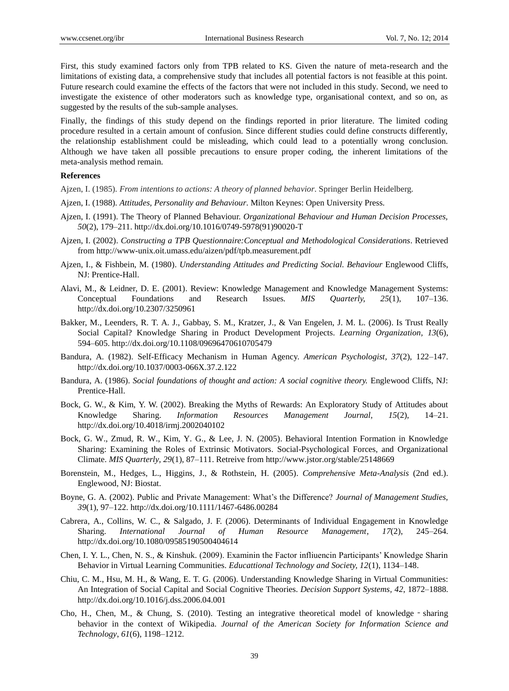First, this study examined factors only from TPB related to KS. Given the nature of meta-research and the limitations of existing data, a comprehensive study that includes all potential factors is not feasible at this point. Future research could examine the effects of the factors that were not included in this study. Second, we need to investigate the existence of other moderators such as knowledge type, organisational context, and so on, as suggested by the results of the sub-sample analyses.

Finally, the findings of this study depend on the findings reported in prior literature. The limited coding procedure resulted in a certain amount of confusion. Since different studies could define constructs differently, the relationship establishment could be misleading, which could lead to a potentially wrong conclusion. Although we have taken all possible precautions to ensure proper coding, the inherent limitations of the meta-analysis method remain.

#### **References**

Ajzen, I. (1985). *From intentions to actions: A theory of planned behavior*. Springer Berlin Heidelberg.

- Ajzen, I. (1988). *Attitudes, Personality and Behaviour*. Milton Keynes: Open University Press.
- Ajzen, I. (1991). The Theory of Planned Behaviour. *Organizational Behaviour and Human Decision Processes, 50*(2), 179–211. http://dx.doi.org/10.1016/0749-5978(91)90020-T
- Ajzen, I. (2002). *Constructing a TPB Questionnaire:Conceptual and Methodological Considerations*. Retrieved from http://www-unix.oit.umass.edu/aizen/pdf/tpb.measurement.pdf
- Ajzen, I., & Fishbein, M. (1980). *Understanding Attitudes and Predicting Social. Behaviour* Englewood Cliffs, NJ: Prentice-Hall.
- Alavi, M., & Leidner, D. E. (2001). Review: Knowledge Management and Knowledge Management Systems: Conceptual Foundations and Research Issues*. MIS Quarterly, 25*(1), 107–136. http://dx.doi.org/10.2307/3250961
- Bakker, M., Leenders, R. T. A. J., Gabbay, S. M., Kratzer, J., & Van Engelen, J. M. L. (2006). Is Trust Really Social Capital? Knowledge Sharing in Product Development Projects. *Learning Organization, 13*(6), 594–605. http://dx.doi.org/10.1108/09696470610705479
- Bandura, A. (1982). Self-Efficacy Mechanism in Human Agency. *American Psychologist, 37*(2), 122–147. http://dx.doi.org/10.1037/0003-066X.37.2.122
- Bandura, A. (1986). *Social foundations of thought and action: A social cognitive theory.* Englewood Cliffs, NJ: Prentice-Hall.
- Bock, G. W., & Kim, Y. W. (2002). Breaking the Myths of Rewards: An Exploratory Study of Attitudes about Knowledge Sharing. *Information Resources Management Journal, 15*(2), 14–21. http://dx.doi.org/10.4018/irmj.2002040102
- Bock, G. W., Zmud, R. W., Kim, Y. G., & Lee, J. N. (2005). Behavioral Intention Formation in Knowledge Sharing: Examining the Roles of Extrinsic Motivators. Social-Psychological Forces, and Organizational Climate. *MIS Quarterly, 29*(1), 87–111. Retreive from http://www.jstor.org/stable/25148669
- Borenstein, M., Hedges, L., Higgins, J., & Rothstein, H. (2005). *Comprehensive Meta-Analysis* (2nd ed.). Englewood, NJ: Biostat.
- Boyne, G. A. (2002). Public and Private Management: What's the Difference? *Journal of Management Studies, 39*(1), 97–122. http://dx.doi.org/10.1111/1467-6486.00284
- Cabrera, A., Collins, W. C., & Salgado, J. F. (2006). Determinants of Individual Engagement in Knowledge Sharing. *International Journal of Human Resource Management, 17*(2), 245–264. http://dx.doi.org/10.1080/09585190500404614
- Chen, I. Y. L., Chen, N. S., & Kinshuk. (2009). Examinin the Factor infliuencin Participants' Knowledge Sharin Behavior in Virtual Learning Communities. *Educattional Technology and Society, 12*(1), 1134–148.
- Chiu, C. M., Hsu, M. H., & Wang, E. T. G. (2006). Understanding Knowledge Sharing in Virtual Communities: An Integration of Social Capital and Social Cognitive Theories. *Decision Support Systems, 42*, 1872–1888. http://dx.doi.org/10.1016/j.dss.2006.04.001
- Cho, H., Chen, M., & Chung, S. (2010). Testing an integrative theoretical model of knowledge sharing behavior in the context of Wikipedia. *Journal of the American Society for Information Science and Technology*, *61*(6), 1198–1212.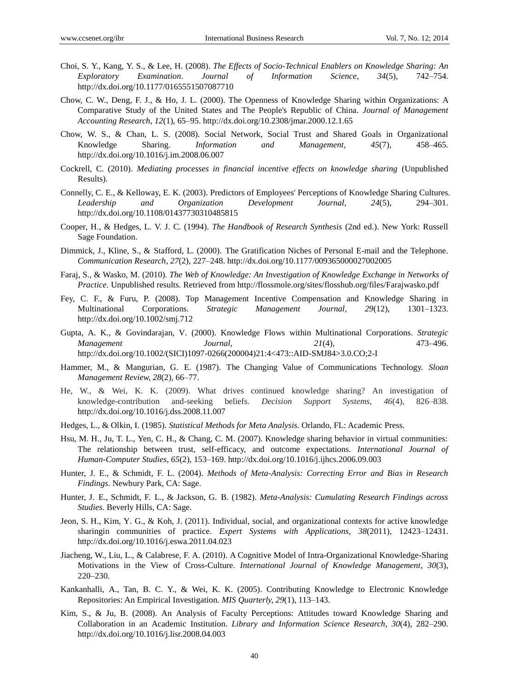- Choi, S. Y., Kang, Y. S., & Lee, H. (2008). *The Effects of Socio-Technical Enablers on Knowledge Sharing: An Exploratory Examination*. *Journal of Information Science, 34*(5), 742–754. http://dx.doi.org/10.1177/0165551507087710
- Chow, C. W., Deng, F. J., & Ho, J. L. (2000). The Openness of Knowledge Sharing within Organizations: A Comparative Study of the United States and The People's Republic of China. *Journal of Management Accounting Research, 12*(1), 65–95. http://dx.doi.org/10.2308/jmar.2000.12.1.65
- Chow, W. S., & Chan, L. S. (2008)*.* Social Network, Social Trust and Shared Goals in Organizational Knowledge Sharing. *Information and Management, 45*(7), 458–465. http://dx.doi.org/10.1016/j.im.2008.06.007
- Cockrell, C. (2010). *Mediating processes in financial incentive effects on knowledge sharing* (Unpublished Results).
- Connelly, C. E., & Kelloway, E. K. (2003). Predictors of Employees' Perceptions of Knowledge Sharing Cultures. *Leadership and Organization Development Journal, 24*(5), 294–301. http://dx.doi.org/10.1108/01437730310485815
- Cooper, H., & Hedges, L. V. J. C. (1994). *The Handbook of Research Synthesis* (2nd ed.). New York: Russell Sage Foundation.
- Dimmick, J., Kline, S., & Stafford, L. (2000). The Gratification Niches of Personal E-mail and the Telephone. *Communication Research, 27*(2), 227–248. http://dx.doi.org/10.1177/009365000027002005
- Faraj, S., & Wasko, M. (2010). *The Web of Knowledge: An Investigation of Knowledge Exchange in Networks of Practice*. Unpublished results. Retrieved from http://flossmole.org/sites/flosshub.org/files/Farajwasko.pdf
- Fey, C. F., & Furu, P. (2008). Top Management Incentive Compensation and Knowledge Sharing in Multinational Corporations. *Strategic Management Journal, 29*(12), 1301–1323. http://dx.doi.org/10.1002/smj.712
- Gupta, A. K., & Govindarajan, V. (2000). Knowledge Flows within Multinational Corporations. *Strategic Management Journal, 21*(4), 473–496. http://dx.doi.org/10.1002/(SICI)1097-0266(200004)21:4<473::AID-SMJ84>3.0.CO;2-I
- Hammer, M., & Mangurian, G. E. (1987). The Changing Value of Communications Technology. *Sloan Management Review, 28*(2), 66–77.
- He, W., & Wei, K. K. (2009). What drives continued knowledge sharing? An investigation of knowledge-contribution and-seeking beliefs. *Decision Support Systems*, *46*(4), 826–838. http://dx.doi.org/10.1016/j.dss.2008.11.007
- Hedges, L., & Olkin, I. (1985). *Statistical Methods for Meta Analysis*. Orlando, FL: Academic Press.
- Hsu, M. H., Ju, T. L., Yen, C. H., & Chang, C. M. (2007). Knowledge sharing behavior in virtual communities: The relationship between trust, self-efficacy, and outcome expectations. *International Journal of Human-Computer Studies*, *65*(2), 153–169. http://dx.doi.org/10.1016/j.ijhcs.2006.09.003
- Hunter, J. E., & Schmidt, F. L. (2004). *Methods of Meta-Analysis: Correcting Error and Bias in Research Findings*. Newbury Park, CA: Sage.
- Hunter, J. E., Schmidt, F. L., & Jackson, G. B. (1982). *Meta-Analysis: Cumulating Research Findings across Studies.* Beverly Hills, CA: Sage.
- Jeon, S. H., Kim, Y. G., & Koh, J. (2011). Individual, social, and organizational contexts for active knowledge sharingin communities of practice. *Expert Systems with Applications, 38*(2011), 12423–12431. http://dx.doi.org/10.1016/j.eswa.2011.04.023
- Jiacheng, W., Liu, L., & Calabrese, F. A. (2010). A Cognitive Model of Intra-Organizational Knowledge-Sharing Motivations in the View of Cross-Culture. *International Journal of Knowledge Management, 30*(3), 220–230.
- Kankanhalli, A., Tan, B. C. Y., & Wei, K. K. (2005). Contributing Knowledge to Electronic Knowledge Repositories: An Empirical Investigation. *MIS Quarterly, 29*(1), 113–143.
- Kim, S., & Ju, B. (2008). An Analysis of Faculty Perceptions: Attitudes toward Knowledge Sharing and Collaboration in an Academic Institution. *Library and Information Science Research, 30*(4), 282–290. http://dx.doi.org/10.1016/j.lisr.2008.04.003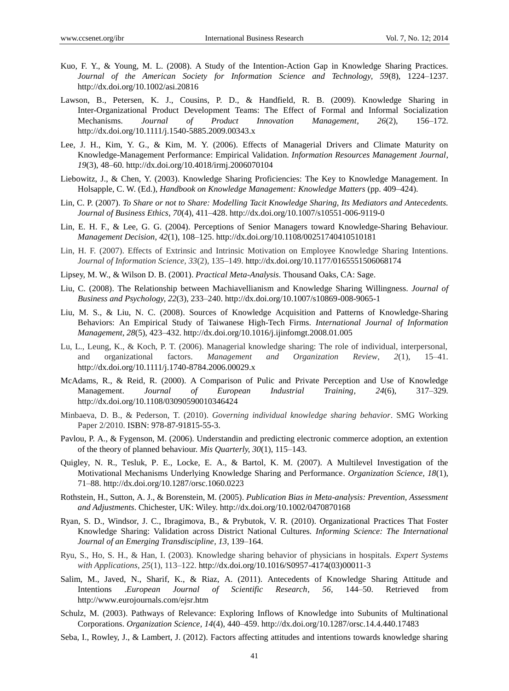- Kuo, F. Y., & Young, M. L. (2008). A Study of the Intention-Action Gap in Knowledge Sharing Practices. *Journal of the American Society for Information Science and Technology, 59*(8), 1224–1237. http://dx.doi.org/10.1002/asi.20816
- Lawson, B., Petersen, K. J., Cousins, P. D., & Handfield, R. B. (2009). Knowledge Sharing in Inter-Organizational Product Development Teams: The Effect of Formal and Informal Socialization Mechanisms. *Journal of Product Innovation Management, 26*(2), 156–172. http://dx.doi.org/10.1111/j.1540-5885.2009.00343.x
- Lee, J. H., Kim, Y. G., & Kim, M. Y. (2006). Effects of Managerial Drivers and Climate Maturity on Knowledge-Management Performance: Empirical Validation. *Information Resources Management Journal, 19*(3), 48–60. http://dx.doi.org/10.4018/irmj.2006070104
- Liebowitz, J., & Chen, Y. (2003). Knowledge Sharing Proficiencies: The Key to Knowledge Management. In Holsapple, C. W. (Ed.), *Handbook on Knowledge Management: Knowledge Matters* (pp. 409–424).
- Lin, C. P. (2007). *To Share or not to Share: Modelling Tacit Knowledge Sharing, Its Mediators and Antecedents. Journal of Business Ethics, 70*(4), 411–428. http://dx.doi.org/10.1007/s10551-006-9119-0
- Lin, E. H. F., & Lee, G. G. (2004). Perceptions of Senior Managers toward Knowledge-Sharing Behaviour. *Management Decision, 42*(1), 108–125. http://dx.doi.org/10.1108/00251740410510181
- Lin, H. F. (2007). Effects of Extrinsic and Intrinsic Motivation on Employee Knowledge Sharing Intentions. *Journal of Information Science, 33*(2), 135–149. http://dx.doi.org/10.1177/0165551506068174
- Lipsey, M. W., & Wilson D. B. (2001). *Practical Meta-Analysis*. Thousand Oaks, CA: Sage.
- Liu, C. (2008). The Relationship between Machiavellianism and Knowledge Sharing Willingness. *Journal of Business and Psychology, 22*(3), 233–240. http://dx.doi.org/10.1007/s10869-008-9065-1
- Liu, M. S., & Liu, N. C. (2008). Sources of Knowledge Acquisition and Patterns of Knowledge-Sharing Behaviors: An Empirical Study of Taiwanese High-Tech Firms. *International Journal of Information Management, 28*(5), 423–432. http://dx.doi.org/10.1016/j.ijinfomgt.2008.01.005
- Lu, L., Leung, K., & Koch, P. T. (2006). Managerial knowledge sharing: The role of individual, interpersonal, and organizational factors. *Management and Organization Review*, *2*(1), 15–41. http://dx.doi.org/10.1111/j.1740-8784.2006.00029.x
- McAdams, R., & Reid, R. (2000). A Comparison of Pulic and Private Perception and Use of Knowledge Management. *Journal of European Industrial Training, 24*(6), 317–329. http://dx.doi.org/10.1108/03090590010346424
- Minbaeva, D. B., & Pederson, T. (2010). *Governing individual knowledge sharing behavior*. SMG Working Paper 2/2010. ISBN: 978-87-91815-55-3.
- Pavlou, P. A., & Fygenson, M. (2006). Understandin and predicting electronic commerce adoption, an extention of the theory of planned behaviour. *Mis Quarterly, 30*(1), 115–143.
- Quigley, N. R., Tesluk, P. E., Locke, E. A., & Bartol, K. M. (2007). A Multilevel Investigation of the Motivational Mechanisms Underlying Knowledge Sharing and Performance. *Organization Science, 18*(1), 71–88. http://dx.doi.org/10.1287/orsc.1060.0223
- Rothstein, H., Sutton, A. J., & Borenstein, M. (2005). *Publication Bias in Meta-analysis: Prevention, Assessment and Adjustments*. Chichester, UK: Wiley. http://dx.doi.org/10.1002/0470870168
- Ryan, S. D., Windsor, J. C., Ibragimova, B., & Prybutok, V. R. (2010). Organizational Practices That Foster Knowledge Sharing: Validation across District National Cultures. *Informing Science: The International Journal of an Emerging Transdiscipline, 13*, 139–164.
- Ryu, S., Ho, S. H., & Han, I. (2003). Knowledge sharing behavior of physicians in hospitals. *Expert Systems with Applications*, *25*(1), 113–122. http://dx.doi.org/10.1016/S0957-4174(03)00011-3
- Salim, M., Javed, N., Sharif, K., & Riaz, A. (2011). Antecedents of Knowledge Sharing Attitude and Intentions .*European Journal of Scientific Research, 56,* 144–50. Retrieved from http://www.eurojournals.com/ejsr.htm
- Schulz, M. (2003). Pathways of Relevance: Exploring Inflows of Knowledge into Subunits of Multinational Corporations. *Organization Science, 14*(4), 440–459. http://dx.doi.org/10.1287/orsc.14.4.440.17483
- Seba, I., Rowley, J., & Lambert, J. (2012). Factors affecting attitudes and intentions towards knowledge sharing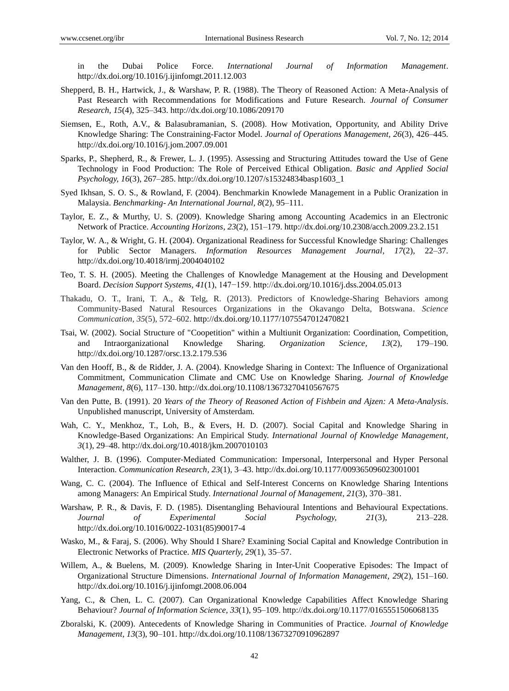in the Dubai Police Force. *International Journal of Information Management*. http://dx.doi.org/10.1016/j.ijinfomgt.2011.12.003

- Shepperd, B. H., Hartwick, J., & Warshaw, P. R. (1988). The Theory of Reasoned Action: A Meta-Analysis of Past Research with Recommendations for Modifications and Future Research. *Journal of Consumer Research, 15*(4), 325–343. http://dx.doi.org/10.1086/209170
- Siemsen, E., Roth, A.V., & Balasubramanian, S. (2008). How Motivation, Opportunity, and Ability Drive Knowledge Sharing: The Constraining-Factor Model. *Journal of Operations Management, 26*(3), 426–445. http://dx.doi.org/10.1016/j.jom.2007.09.001
- Sparks, P., Shepherd, R., & Frewer, L. J. (1995). Assessing and Structuring Attitudes toward the Use of Gene Technology in Food Production: The Role of Perceived Ethical Obligation. *Basic and Applied Social Psychology, 16*(3), 267–285. http://dx.doi.org/10.1207/s15324834basp1603\_1
- Syed Ikhsan, S. O. S., & Rowland, F. (2004). Benchmarkin Knowlede Management in a Public Oranization in Malaysia. *Benchmarking- An International Journal, 8*(2), 95–111.
- Taylor, E. Z., & Murthy, U. S. (2009). Knowledge Sharing among Accounting Academics in an Electronic Network of Practice. *Accounting Horizons, 23*(2), 151–179. http://dx.doi.org/10.2308/acch.2009.23.2.151
- Taylor, W. A., & Wright, G. H. (2004). Organizational Readiness for Successful Knowledge Sharing: Challenges for Public Sector Managers. *Information Resources Management Journal, 17*(2), 22–37. http://dx.doi.org/10.4018/irmj.2004040102
- Teo, T. S. H. (2005). Meeting the Challenges of Knowledge Management at the Housing and Development Board. *Decision Support Systems, 41*(1), 147−159. http://dx.doi.org/10.1016/j.dss.2004.05.013
- Thakadu, O. T., Irani, T. A., & Telg, R. (2013). Predictors of Knowledge-Sharing Behaviors among Community-Based Natural Resources Organizations in the Okavango Delta, Botswana. *Science Communication, 35*(5), 572–602. http://dx.doi.org/10.1177/1075547012470821
- Tsai, W. (2002). Social Structure of "Coopetition" within a Multiunit Organization: Coordination, Competition, and Intraorganizational Knowledge Sharing. *Organization Science, 13*(2), 179–190. http://dx.doi.org/10.1287/orsc.13.2.179.536
- Van den Hooff, B., & de Ridder, J. A. (2004). Knowledge Sharing in Context: The Influence of Organizational Commitment, Communication Climate and CMC Use on Knowledge Sharing. *Journal of Knowledge Management, 8*(6), 117–130. http://dx.doi.org/10.1108/13673270410567675
- Van den Putte, B. (1991). 20 *Years of the Theory of Reasoned Action of Fishbein and Ajzen: A Meta-Analysis*. Unpublished manuscript, University of Amsterdam.
- Wah, C. Y., Menkhoz, T., Loh, B., & Evers, H. D. (2007). Social Capital and Knowledge Sharing in Knowledge-Based Organizations: An Empirical Study. *International Journal of Knowledge Management, 3*(1), 29–48. http://dx.doi.org/10.4018/jkm.2007010103
- Walther, J. B. (1996). Computer-Mediated Communication: Impersonal, Interpersonal and Hyper Personal Interaction. *Communication Research, 23*(1), 3–43. http://dx.doi.org/10.1177/009365096023001001
- Wang, C. C. (2004). The Influence of Ethical and Self-Interest Concerns on Knowledge Sharing Intentions among Managers: An Empirical Study. *International Journal of Management, 21*(3), 370–381.
- Warshaw, P. R., & Davis, F. D. (1985). Disentangling Behavioural Intentions and Behavioural Expectations. *Journal of Experimental Social Psychology, 21*(3), 213–228. http://dx.doi.org/10.1016/0022-1031(85)90017-4
- Wasko, M., & Faraj, S. (2006). Why Should I Share? Examining Social Capital and Knowledge Contribution in Electronic Networks of Practice. *MIS Quarterly, 29*(1), 35–57.
- Willem, A., & Buelens, M. (2009). Knowledge Sharing in Inter-Unit Cooperative Episodes: The Impact of Organizational Structure Dimensions. *International Journal of Information Management, 29*(2), 151–160. http://dx.doi.org/10.1016/j.ijinfomgt.2008.06.004
- Yang, C., & Chen, L. C. (2007). Can Organizational Knowledge Capabilities Affect Knowledge Sharing Behaviour? *Journal of Information Science, 33*(1), 95–109. http://dx.doi.org/10.1177/0165551506068135
- Zboralski, K. (2009). Antecedents of Knowledge Sharing in Communities of Practice. *Journal of Knowledge Management, 13*(3), 90–101. http://dx.doi.org/10.1108/13673270910962897